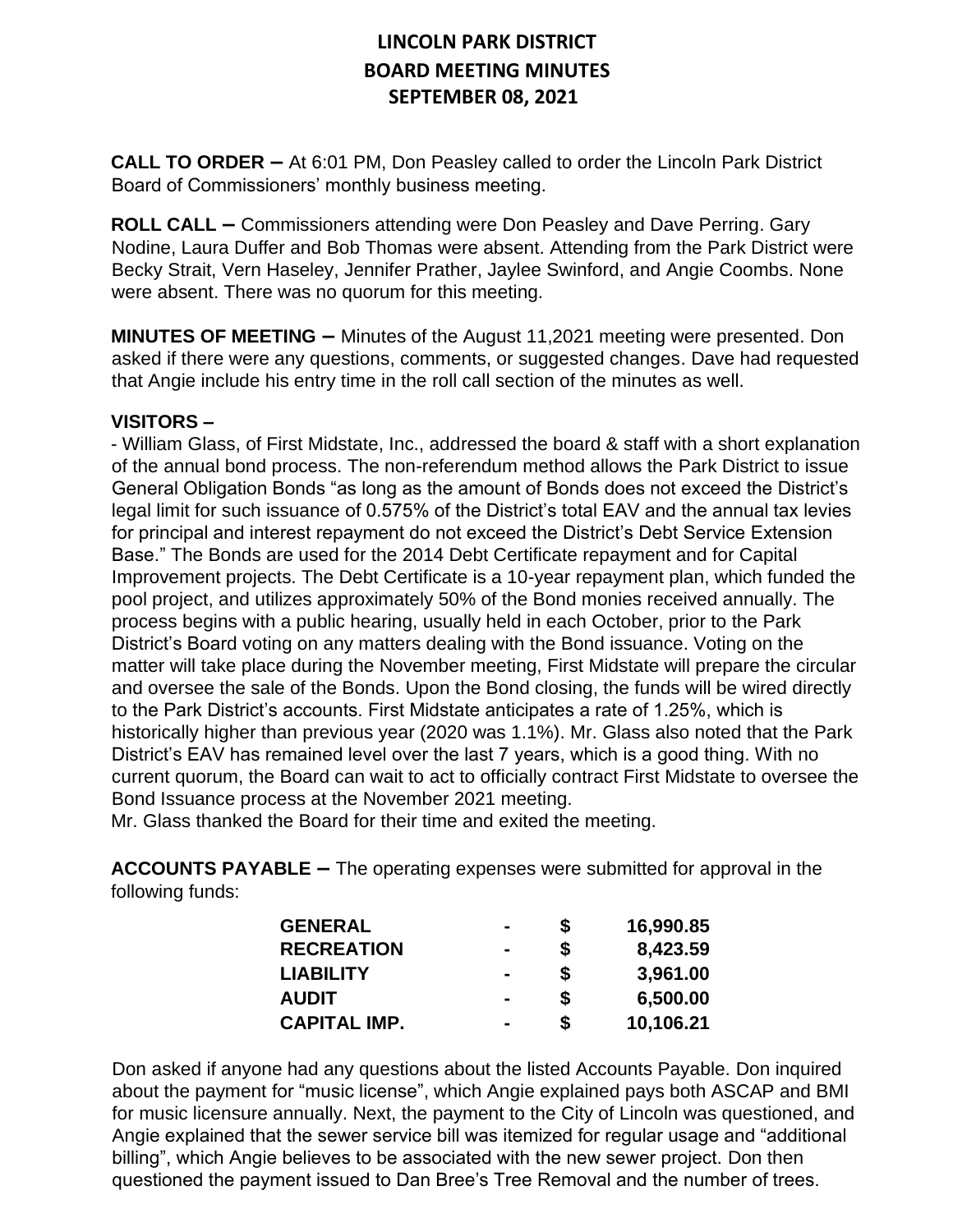**CALL TO ORDER –** At 6:01 PM, Don Peasley called to order the Lincoln Park District Board of Commissioners' monthly business meeting.

**ROLL CALL –** Commissioners attending were Don Peasley and Dave Perring. Gary Nodine, Laura Duffer and Bob Thomas were absent. Attending from the Park District were Becky Strait, Vern Haseley, Jennifer Prather, Jaylee Swinford, and Angie Coombs. None were absent. There was no quorum for this meeting.

**MINUTES OF MEETING –** Minutes of the August 11,2021 meeting were presented. Don asked if there were any questions, comments, or suggested changes. Dave had requested that Angie include his entry time in the roll call section of the minutes as well.

#### **VISITORS –**

- William Glass, of First Midstate, Inc., addressed the board & staff with a short explanation of the annual bond process. The non-referendum method allows the Park District to issue General Obligation Bonds "as long as the amount of Bonds does not exceed the District's legal limit for such issuance of 0.575% of the District's total EAV and the annual tax levies for principal and interest repayment do not exceed the District's Debt Service Extension Base." The Bonds are used for the 2014 Debt Certificate repayment and for Capital Improvement projects. The Debt Certificate is a 10-year repayment plan, which funded the pool project, and utilizes approximately 50% of the Bond monies received annually. The process begins with a public hearing, usually held in each October, prior to the Park District's Board voting on any matters dealing with the Bond issuance. Voting on the matter will take place during the November meeting, First Midstate will prepare the circular and oversee the sale of the Bonds. Upon the Bond closing, the funds will be wired directly to the Park District's accounts. First Midstate anticipates a rate of 1.25%, which is historically higher than previous year (2020 was 1.1%). Mr. Glass also noted that the Park District's EAV has remained level over the last 7 years, which is a good thing. With no current quorum, the Board can wait to act to officially contract First Midstate to oversee the Bond Issuance process at the November 2021 meeting.

Mr. Glass thanked the Board for their time and exited the meeting.

**ACCOUNTS PAYABLE –** The operating expenses were submitted for approval in the following funds:

| <b>GENERAL</b>      |                |   | 16,990.85 |
|---------------------|----------------|---|-----------|
| <b>RECREATION</b>   | $\blacksquare$ | S | 8,423.59  |
| <b>LIABILITY</b>    |                | S | 3,961.00  |
| <b>AUDIT</b>        |                | S | 6,500.00  |
| <b>CAPITAL IMP.</b> |                |   | 10,106.21 |

Don asked if anyone had any questions about the listed Accounts Payable. Don inquired about the payment for "music license", which Angie explained pays both ASCAP and BMI for music licensure annually. Next, the payment to the City of Lincoln was questioned, and Angie explained that the sewer service bill was itemized for regular usage and "additional billing", which Angie believes to be associated with the new sewer project. Don then questioned the payment issued to Dan Bree's Tree Removal and the number of trees.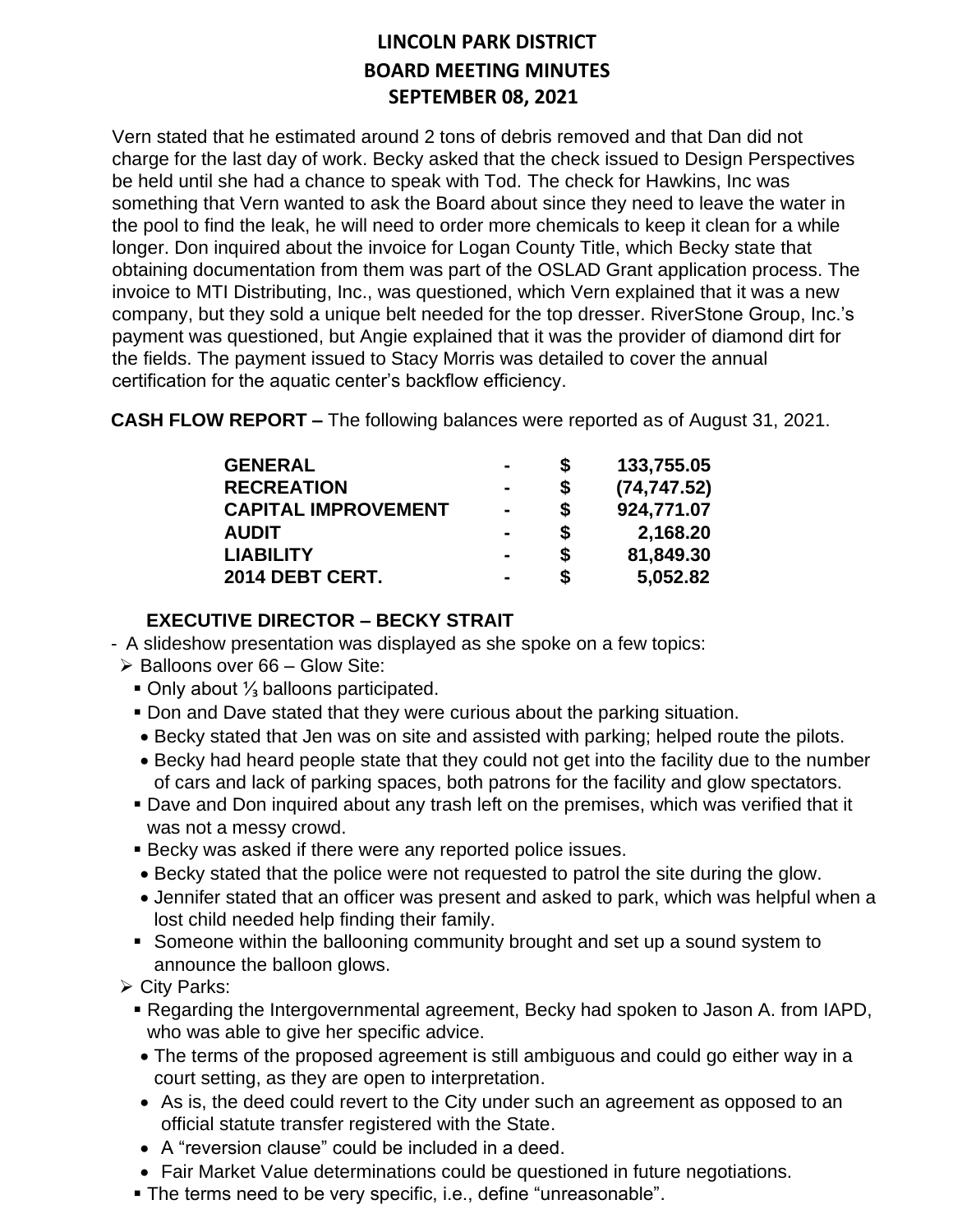Vern stated that he estimated around 2 tons of debris removed and that Dan did not charge for the last day of work. Becky asked that the check issued to Design Perspectives be held until she had a chance to speak with Tod. The check for Hawkins, Inc was something that Vern wanted to ask the Board about since they need to leave the water in the pool to find the leak, he will need to order more chemicals to keep it clean for a while longer. Don inquired about the invoice for Logan County Title, which Becky state that obtaining documentation from them was part of the OSLAD Grant application process. The invoice to MTI Distributing, Inc., was questioned, which Vern explained that it was a new company, but they sold a unique belt needed for the top dresser. RiverStone Group, Inc.'s payment was questioned, but Angie explained that it was the provider of diamond dirt for the fields. The payment issued to Stacy Morris was detailed to cover the annual certification for the aquatic center's backflow efficiency.

**CASH FLOW REPORT –** The following balances were reported as of August 31, 2021.

| <b>GENERAL</b>             | -              | S  | 133,755.05   |
|----------------------------|----------------|----|--------------|
| <b>RECREATION</b>          | $\blacksquare$ | \$ | (74, 747.52) |
| <b>CAPITAL IMPROVEMENT</b> | $\blacksquare$ | \$ | 924,771.07   |
| <b>AUDIT</b>               | $\blacksquare$ | \$ | 2,168.20     |
| <b>LIABILITY</b>           | $\blacksquare$ | \$ | 81,849.30    |
| 2014 DEBT CERT.            | -              | S  | 5,052.82     |

## **EXECUTIVE DIRECTOR – BECKY STRAIT**

- A slideshow presentation was displayed as she spoke on a few topics:
- $\triangleright$  Balloons over 66 Glow Site:
	- **Only about**  $\frac{1}{3}$  **balloons participated.**
	- **Don and Dave stated that they were curious about the parking situation.**
	- Becky stated that Jen was on site and assisted with parking; helped route the pilots.
	- Becky had heard people state that they could not get into the facility due to the number of cars and lack of parking spaces, both patrons for the facility and glow spectators.
	- **Dave and Don inquired about any trash left on the premises, which was verified that it** was not a messy crowd.
	- **Becky was asked if there were any reported police issues.**
	- Becky stated that the police were not requested to patrol the site during the glow.
	- Jennifer stated that an officer was present and asked to park, which was helpful when a lost child needed help finding their family.
	- Someone within the ballooning community brought and set up a sound system to announce the balloon glows.
- ➢ City Parks:
	- Regarding the Intergovernmental agreement, Becky had spoken to Jason A. from IAPD, who was able to give her specific advice.
	- The terms of the proposed agreement is still ambiguous and could go either way in a court setting, as they are open to interpretation.
	- As is, the deed could revert to the City under such an agreement as opposed to an official statute transfer registered with the State.
	- A "reversion clause" could be included in a deed.
	- Fair Market Value determinations could be questioned in future negotiations.
	- The terms need to be very specific, i.e., define "unreasonable".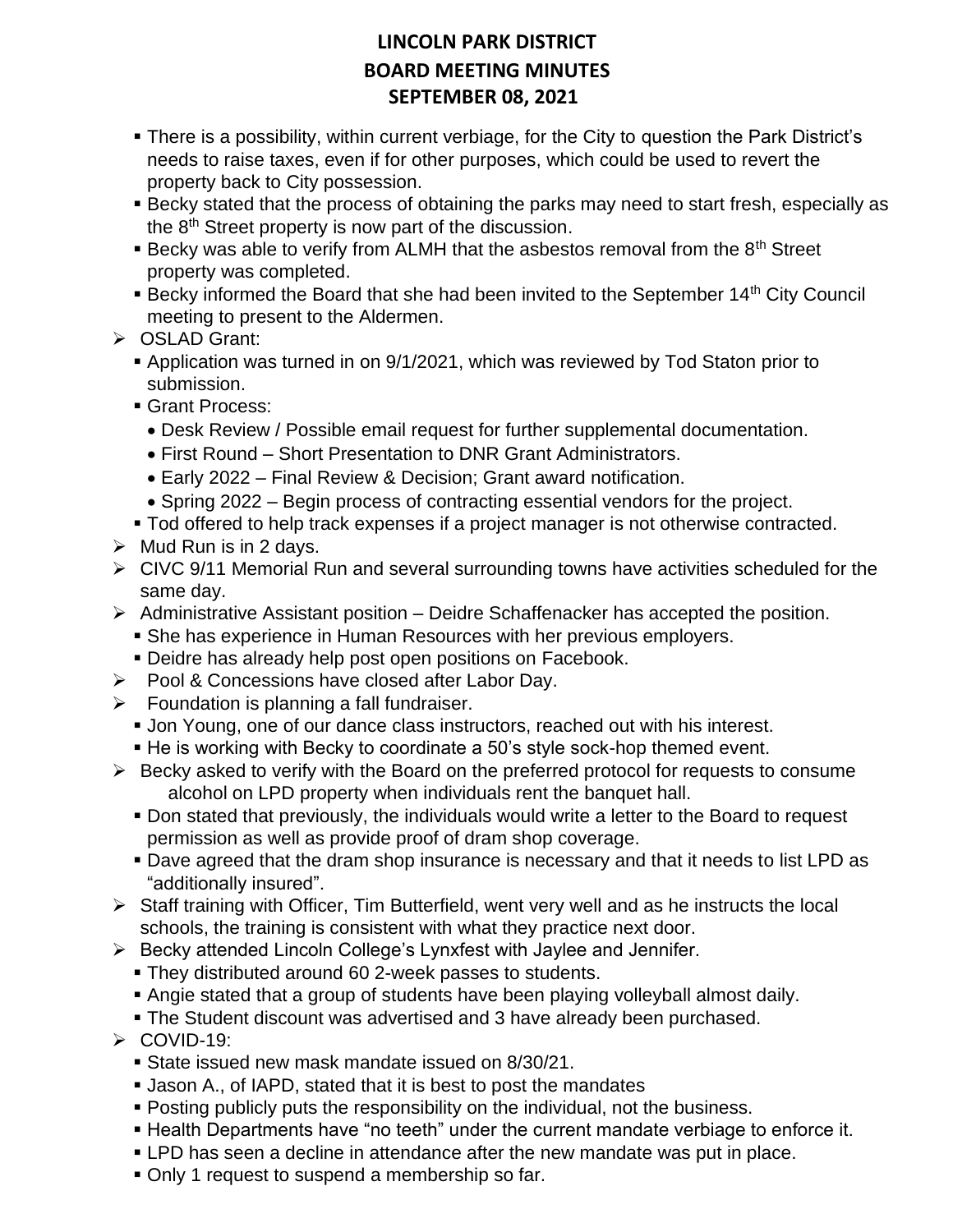- There is a possibility, within current verbiage, for the City to question the Park District's needs to raise taxes, even if for other purposes, which could be used to revert the property back to City possession.
- **E** Becky stated that the process of obtaining the parks may need to start fresh, especially as the 8<sup>th</sup> Street property is now part of the discussion.
- **E** Becky was able to verify from ALMH that the asbestos removal from the  $8<sup>th</sup>$  Street property was completed.
- **EXECT** Becky informed the Board that she had been invited to the September 14<sup>th</sup> City Council meeting to present to the Aldermen.
- ➢ OSLAD Grant:
	- Application was turned in on 9/1/2021, which was reviewed by Tod Staton prior to submission.
	- Grant Process:
		- Desk Review / Possible email request for further supplemental documentation.
		- First Round Short Presentation to DNR Grant Administrators.
		- Early 2022 Final Review & Decision; Grant award notification.
		- Spring 2022 Begin process of contracting essential vendors for the project.
	- Tod offered to help track expenses if a project manager is not otherwise contracted.
- $\triangleright$  Mud Run is in 2 days.
- ➢ CIVC 9/11 Memorial Run and several surrounding towns have activities scheduled for the same day.
- $\triangleright$  Administrative Assistant position Deidre Schaffenacker has accepted the position.
	- **She has experience in Human Resources with her previous employers.**
	- **Deidre has already help post open positions on Facebook.**
- ➢ Pool & Concessions have closed after Labor Day.
- $\triangleright$  Foundation is planning a fall fundraiser.
	- Jon Young, one of our dance class instructors, reached out with his interest.
	- He is working with Becky to coordinate a 50's style sock-hop themed event.
- ➢ Becky asked to verify with the Board on the preferred protocol for requests to consume alcohol on LPD property when individuals rent the banquet hall.
	- Don stated that previously, the individuals would write a letter to the Board to request permission as well as provide proof of dram shop coverage.
	- **Dave agreed that the dram shop insurance is necessary and that it needs to list LPD as** "additionally insured".
- $\triangleright$  Staff training with Officer, Tim Butterfield, went very well and as he instructs the local schools, the training is consistent with what they practice next door.
- ➢ Becky attended Lincoln College's Lynxfest with Jaylee and Jennifer.
	- **They distributed around 60 2-week passes to students.**
	- Angie stated that a group of students have been playing volleyball almost daily.
	- **The Student discount was advertised and 3 have already been purchased.**
- ➢ COVID-19:
	- State issued new mask mandate issued on 8/30/21.
	- **Jason A., of IAPD, stated that it is best to post the mandates**
	- Posting publicly puts the responsibility on the individual, not the business.
	- **Health Departments have "no teeth" under the current mandate verbiage to enforce it.**
	- LPD has seen a decline in attendance after the new mandate was put in place.
	- Only 1 request to suspend a membership so far.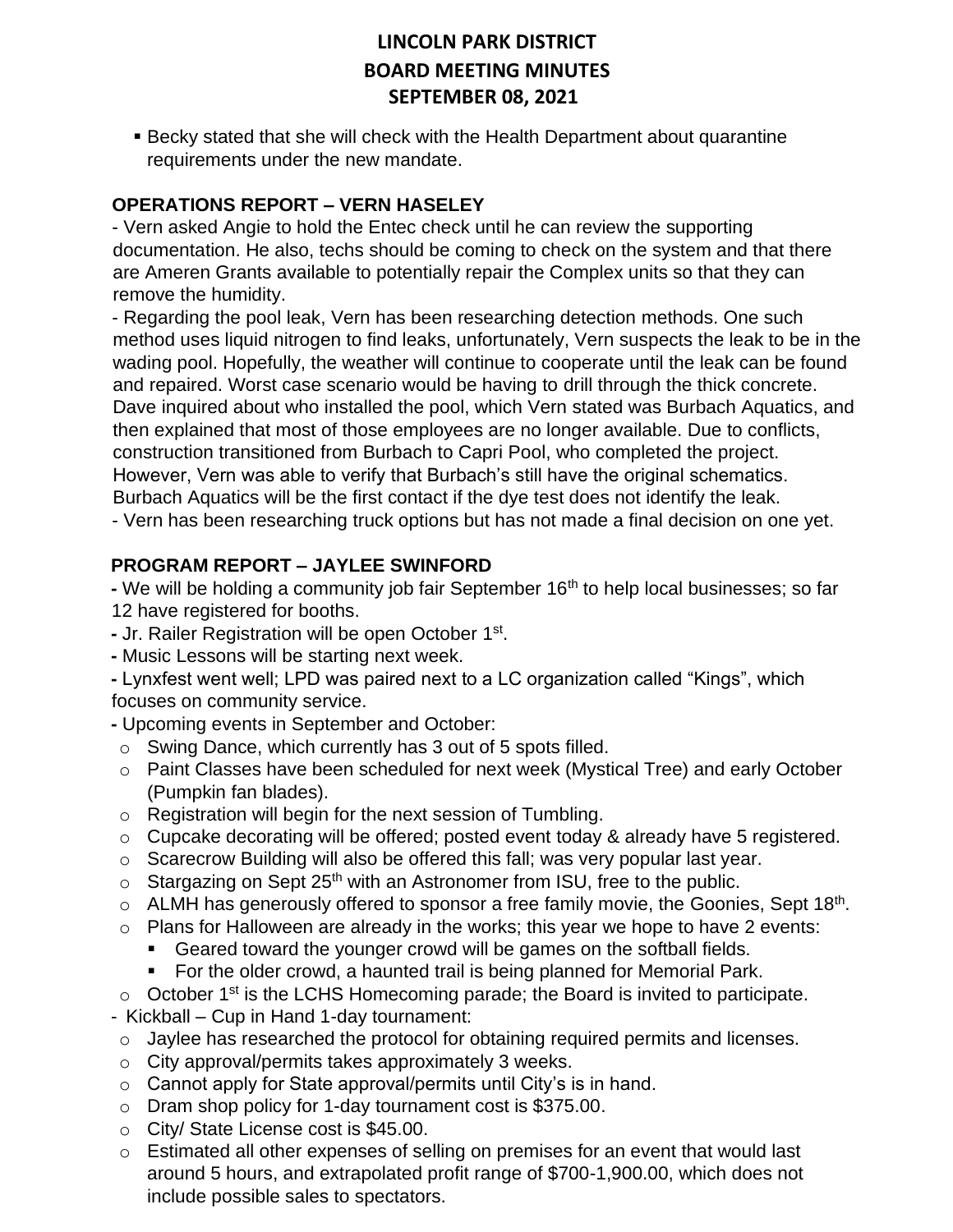**Becky stated that she will check with the Health Department about quarantine** requirements under the new mandate.

## **OPERATIONS REPORT – VERN HASELEY**

- Vern asked Angie to hold the Entec check until he can review the supporting documentation. He also, techs should be coming to check on the system and that there are Ameren Grants available to potentially repair the Complex units so that they can remove the humidity.

- Regarding the pool leak, Vern has been researching detection methods. One such method uses liquid nitrogen to find leaks, unfortunately, Vern suspects the leak to be in the wading pool. Hopefully, the weather will continue to cooperate until the leak can be found and repaired. Worst case scenario would be having to drill through the thick concrete. Dave inquired about who installed the pool, which Vern stated was Burbach Aquatics, and then explained that most of those employees are no longer available. Due to conflicts, construction transitioned from Burbach to Capri Pool, who completed the project. However, Vern was able to verify that Burbach's still have the original schematics. Burbach Aquatics will be the first contact if the dye test does not identify the leak. - Vern has been researching truck options but has not made a final decision on one yet.

## **PROGRAM REPORT – JAYLEE SWINFORD**

**-** We will be holding a community job fair September 16th to help local businesses; so far 12 have registered for booths.

- **-** Jr. Railer Registration will be open October 1st .
- **-** Music Lessons will be starting next week.
- **-** Lynxfest went well; LPD was paired next to a LC organization called "Kings", which focuses on community service.
- **-** Upcoming events in September and October:
- o Swing Dance, which currently has 3 out of 5 spots filled.
- o Paint Classes have been scheduled for next week (Mystical Tree) and early October (Pumpkin fan blades).
- o Registration will begin for the next session of Tumbling.
- $\circ$  Cupcake decorating will be offered; posted event today & already have 5 registered.
- $\circ$  Scarecrow Building will also be offered this fall; was very popular last year.
- $\circ$  Stargazing on Sept 25<sup>th</sup> with an Astronomer from ISU, free to the public.
- $\circ$  ALMH has generously offered to sponsor a free family movie, the Goonies, Sept 18<sup>th</sup>.
- $\circ$  Plans for Halloween are already in the works; this year we hope to have 2 events:
	- Geared toward the younger crowd will be games on the softball fields.
	- For the older crowd, a haunted trail is being planned for Memorial Park.
- $\circ$  October 1<sup>st</sup> is the LCHS Homecoming parade; the Board is invited to participate.
- Kickball Cup in Hand 1-day tournament:
- $\circ$  Jaylee has researched the protocol for obtaining required permits and licenses.
- o City approval/permits takes approximately 3 weeks.
- $\circ$  Cannot apply for State approval/permits until City's is in hand.
- o Dram shop policy for 1-day tournament cost is \$375.00.
- o City/ State License cost is \$45.00.
- $\circ$  Estimated all other expenses of selling on premises for an event that would last around 5 hours, and extrapolated profit range of \$700-1,900.00, which does not include possible sales to spectators.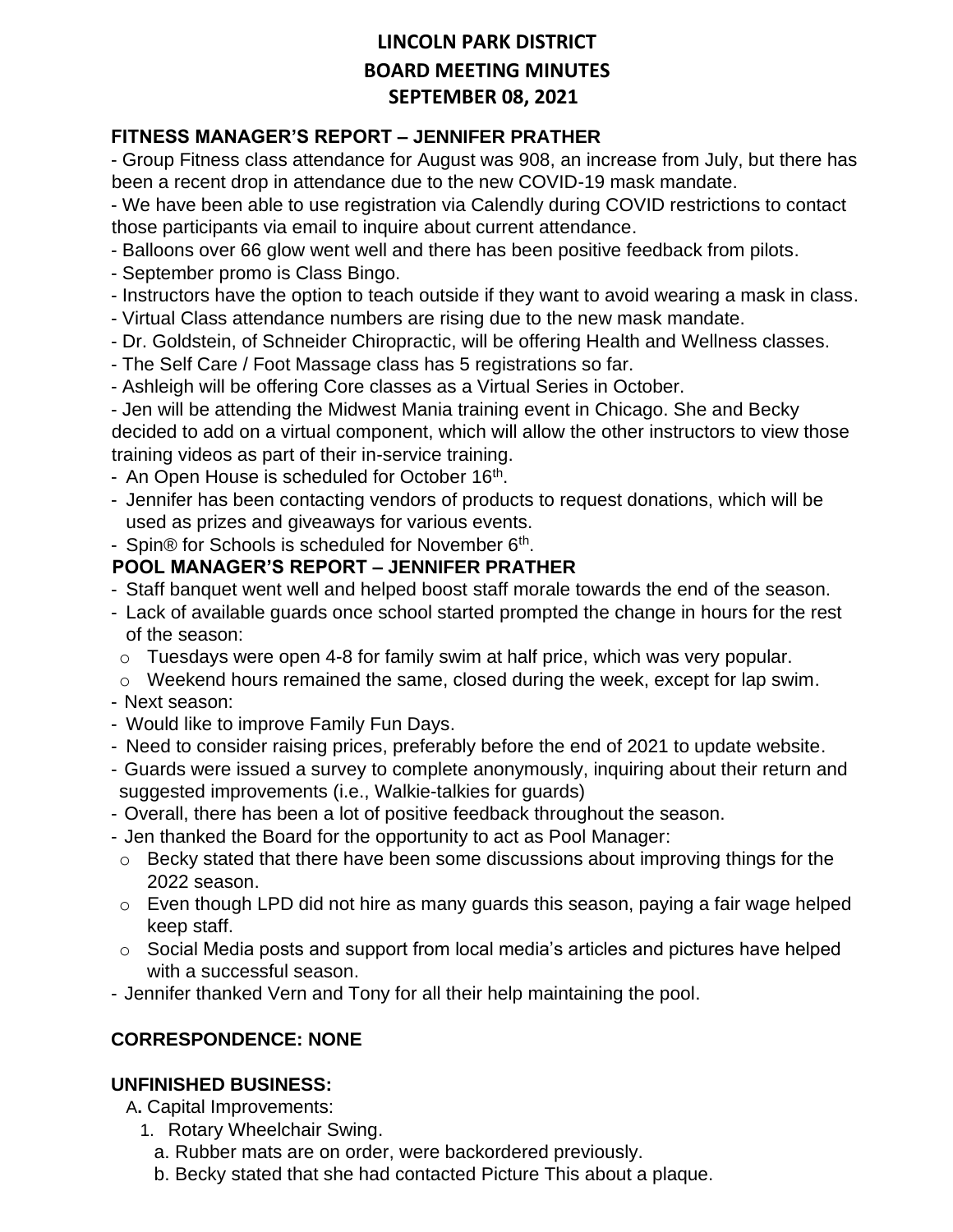### **FITNESS MANAGER'S REPORT – JENNIFER PRATHER**

- Group Fitness class attendance for August was 908, an increase from July, but there has been a recent drop in attendance due to the new COVID-19 mask mandate.

- We have been able to use registration via Calendly during COVID restrictions to contact those participants via email to inquire about current attendance.

- Balloons over 66 glow went well and there has been positive feedback from pilots.
- September promo is Class Bingo.
- Instructors have the option to teach outside if they want to avoid wearing a mask in class.
- Virtual Class attendance numbers are rising due to the new mask mandate.
- Dr. Goldstein, of Schneider Chiropractic, will be offering Health and Wellness classes.
- The Self Care / Foot Massage class has 5 registrations so far.
- Ashleigh will be offering Core classes as a Virtual Series in October.

- Jen will be attending the Midwest Mania training event in Chicago. She and Becky decided to add on a virtual component, which will allow the other instructors to view those training videos as part of their in-service training.

- An Open House is scheduled for October 16<sup>th</sup>.
- Jennifer has been contacting vendors of products to request donations, which will be used as prizes and giveaways for various events.
- Spin® for Schools is scheduled for November 6<sup>th</sup>.

### **POOL MANAGER'S REPORT – JENNIFER PRATHER**

- Staff banquet went well and helped boost staff morale towards the end of the season.
- Lack of available guards once school started prompted the change in hours for the rest of the season:
- o Tuesdays were open 4-8 for family swim at half price, which was very popular.
- o Weekend hours remained the same, closed during the week, except for lap swim.
- Next season:
- Would like to improve Family Fun Days.
- Need to consider raising prices, preferably before the end of 2021 to update website.
- Guards were issued a survey to complete anonymously, inquiring about their return and suggested improvements (i.e., Walkie-talkies for guards)
- Overall, there has been a lot of positive feedback throughout the season.
- Jen thanked the Board for the opportunity to act as Pool Manager:
- o Becky stated that there have been some discussions about improving things for the 2022 season.
- o Even though LPD did not hire as many guards this season, paying a fair wage helped keep staff.
- o Social Media posts and support from local media's articles and pictures have helped with a successful season.
- Jennifer thanked Vern and Tony for all their help maintaining the pool.

### **CORRESPONDENCE: NONE**

### **UNFINISHED BUSINESS:**

A**.** Capital Improvements:

- 1. Rotary Wheelchair Swing.
	- a. Rubber mats are on order, were backordered previously.
	- b. Becky stated that she had contacted Picture This about a plaque.